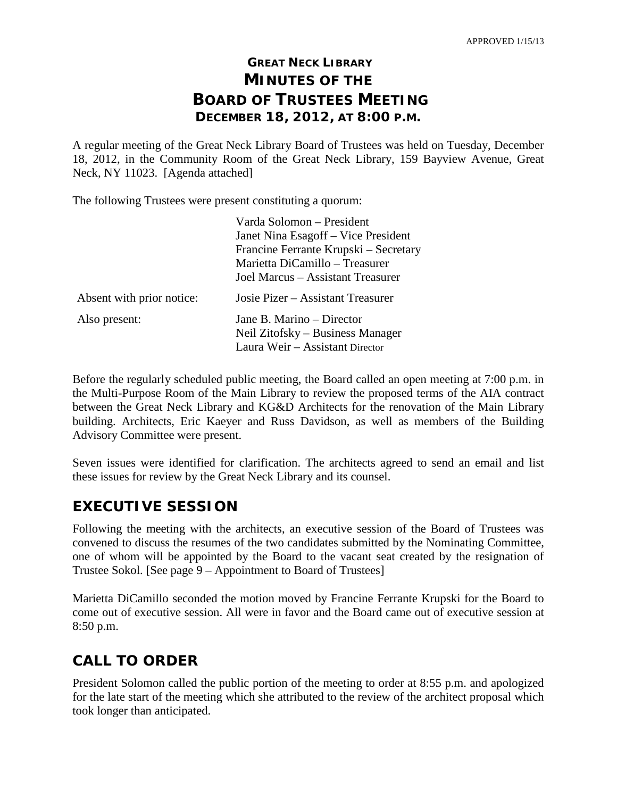# **GREAT NECK LIBRARY MINUTES OF THE BOARD OF TRUSTEES MEETING DECEMBER 18, 2012, AT 8:00 P.M.**

A regular meeting of the Great Neck Library Board of Trustees was held on Tuesday, December 18, 2012, in the Community Room of the Great Neck Library, 159 Bayview Avenue, Great Neck, NY 11023. [Agenda attached]

The following Trustees were present constituting a quorum:

|                           | Varda Solomon – President<br>Janet Nina Esagoff – Vice President<br>Francine Ferrante Krupski – Secretary<br>Marietta DiCamillo – Treasurer<br>Joel Marcus - Assistant Treasurer |
|---------------------------|----------------------------------------------------------------------------------------------------------------------------------------------------------------------------------|
| Absent with prior notice: | Josie Pizer – Assistant Treasurer                                                                                                                                                |
| Also present:             | Jane B. Marino – Director<br>Neil Zitofsky – Business Manager<br>Laura Weir - Assistant Director                                                                                 |

Before the regularly scheduled public meeting, the Board called an open meeting at 7:00 p.m. in the Multi-Purpose Room of the Main Library to review the proposed terms of the AIA contract between the Great Neck Library and KG&D Architects for the renovation of the Main Library building. Architects, Eric Kaeyer and Russ Davidson, as well as members of the Building Advisory Committee were present.

Seven issues were identified for clarification. The architects agreed to send an email and list these issues for review by the Great Neck Library and its counsel.

## **EXECUTIVE SESSION**

Following the meeting with the architects, an executive session of the Board of Trustees was convened to discuss the resumes of the two candidates submitted by the Nominating Committee, one of whom will be appointed by the Board to the vacant seat created by the resignation of Trustee Sokol. [See page 9 – Appointment to Board of Trustees]

Marietta DiCamillo seconded the motion moved by Francine Ferrante Krupski for the Board to come out of executive session. All were in favor and the Board came out of executive session at 8:50 p.m.

# **CALL TO ORDER**

President Solomon called the public portion of the meeting to order at 8:55 p.m. and apologized for the late start of the meeting which she attributed to the review of the architect proposal which took longer than anticipated.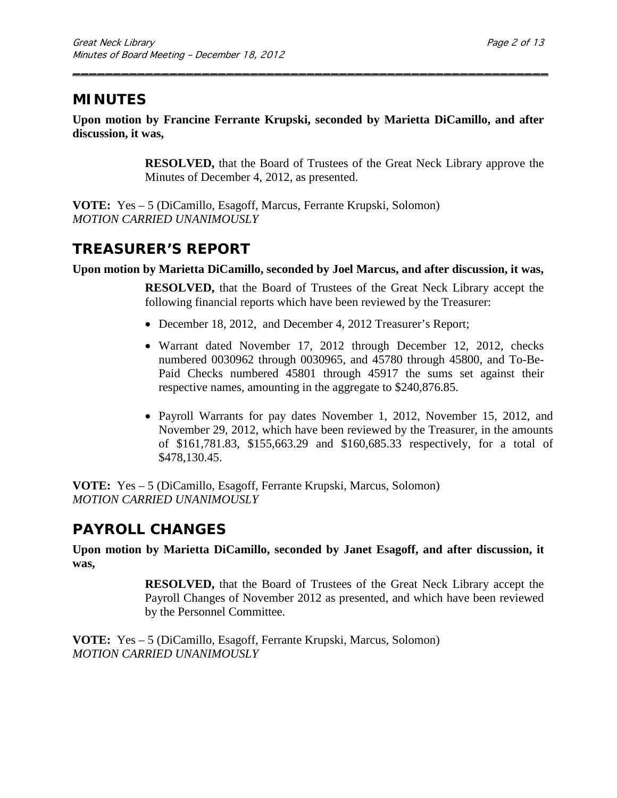## **MINUTES**

**Upon motion by Francine Ferrante Krupski, seconded by Marietta DiCamillo, and after discussion, it was,**

\_\_\_\_\_\_\_\_\_\_\_\_\_\_\_\_\_\_\_\_\_\_\_\_\_\_\_\_\_\_\_\_\_\_\_\_\_\_\_\_\_\_\_\_\_\_\_\_\_\_\_\_\_\_\_\_\_\_\_

**RESOLVED,** that the Board of Trustees of the Great Neck Library approve the Minutes of December 4, 2012, as presented.

**VOTE:** Yes – 5 (DiCamillo, Esagoff, Marcus, Ferrante Krupski, Solomon) *MOTION CARRIED UNANIMOUSLY*

## **TREASURER'S REPORT**

#### **Upon motion by Marietta DiCamillo, seconded by Joel Marcus, and after discussion, it was,**

**RESOLVED,** that the Board of Trustees of the Great Neck Library accept the following financial reports which have been reviewed by the Treasurer:

- December 18, 2012, and December 4, 2012 Treasurer's Report;
- Warrant dated November 17, 2012 through December 12, 2012, checks numbered 0030962 through 0030965, and 45780 through 45800, and To-Be-Paid Checks numbered 45801 through 45917 the sums set against their respective names, amounting in the aggregate to \$240,876.85.
- Payroll Warrants for pay dates November 1, 2012, November 15, 2012, and November 29, 2012, which have been reviewed by the Treasurer, in the amounts of \$161,781.83, \$155,663.29 and \$160,685.33 respectively, for a total of \$478,130.45.

**VOTE:** Yes – 5 (DiCamillo, Esagoff, Ferrante Krupski, Marcus, Solomon) *MOTION CARRIED UNANIMOUSLY*

## **PAYROLL CHANGES**

**Upon motion by Marietta DiCamillo, seconded by Janet Esagoff, and after discussion, it was,**

> **RESOLVED,** that the Board of Trustees of the Great Neck Library accept the Payroll Changes of November 2012 as presented, and which have been reviewed by the Personnel Committee.

**VOTE:** Yes – 5 (DiCamillo, Esagoff, Ferrante Krupski, Marcus, Solomon) *MOTION CARRIED UNANIMOUSLY*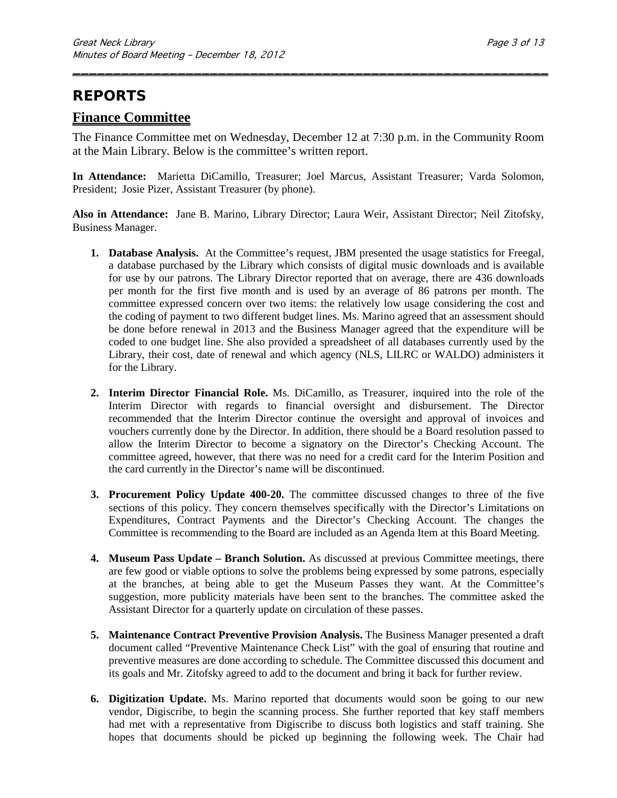## **REPORTS**

#### **Finance Committee**

The Finance Committee met on Wednesday, December 12 at 7:30 p.m. in the Community Room at the Main Library. Below is the committee's written report.

\_\_\_\_\_\_\_\_\_\_\_\_\_\_\_\_\_\_\_\_\_\_\_\_\_\_\_\_\_\_\_\_\_\_\_\_\_\_\_\_\_\_\_\_\_\_\_\_\_\_\_\_\_\_\_\_\_\_\_

**In Attendance:** Marietta DiCamillo, Treasurer; Joel Marcus, Assistant Treasurer; Varda Solomon, President; Josie Pizer, Assistant Treasurer (by phone).

**Also in Attendance:** Jane B. Marino, Library Director; Laura Weir, Assistant Director; Neil Zitofsky, Business Manager.

- **1. Database Analysis.** At the Committee's request, JBM presented the usage statistics for Freegal, a database purchased by the Library which consists of digital music downloads and is available for use by our patrons. The Library Director reported that on average, there are 436 downloads per month for the first five month and is used by an average of 86 patrons per month. The committee expressed concern over two items: the relatively low usage considering the cost and the coding of payment to two different budget lines. Ms. Marino agreed that an assessment should be done before renewal in 2013 and the Business Manager agreed that the expenditure will be coded to one budget line. She also provided a spreadsheet of all databases currently used by the Library, their cost, date of renewal and which agency (NLS, LILRC or WALDO) administers it for the Library.
- **2. Interim Director Financial Role.** Ms. DiCamillo, as Treasurer, inquired into the role of the Interim Director with regards to financial oversight and disbursement. The Director recommended that the Interim Director continue the oversight and approval of invoices and vouchers currently done by the Director. In addition, there should be a Board resolution passed to allow the Interim Director to become a signatory on the Director's Checking Account. The committee agreed, however, that there was no need for a credit card for the Interim Position and the card currently in the Director's name will be discontinued.
- **3. Procurement Policy Update 400-20.** The committee discussed changes to three of the five sections of this policy. They concern themselves specifically with the Director's Limitations on Expenditures, Contract Payments and the Director's Checking Account. The changes the Committee is recommending to the Board are included as an Agenda Item at this Board Meeting.
- **4. Museum Pass Update – Branch Solution.** As discussed at previous Committee meetings, there are few good or viable options to solve the problems being expressed by some patrons, especially at the branches, at being able to get the Museum Passes they want. At the Committee's suggestion, more publicity materials have been sent to the branches. The committee asked the Assistant Director for a quarterly update on circulation of these passes.
- **5. Maintenance Contract Preventive Provision Analysis.** The Business Manager presented a draft document called "Preventive Maintenance Check List" with the goal of ensuring that routine and preventive measures are done according to schedule. The Committee discussed this document and its goals and Mr. Zitofsky agreed to add to the document and bring it back for further review.
- **6. Digitization Update.** Ms. Marino reported that documents would soon be going to our new vendor, Digiscribe, to begin the scanning process. She further reported that key staff members had met with a representative from Digiscribe to discuss both logistics and staff training. She hopes that documents should be picked up beginning the following week. The Chair had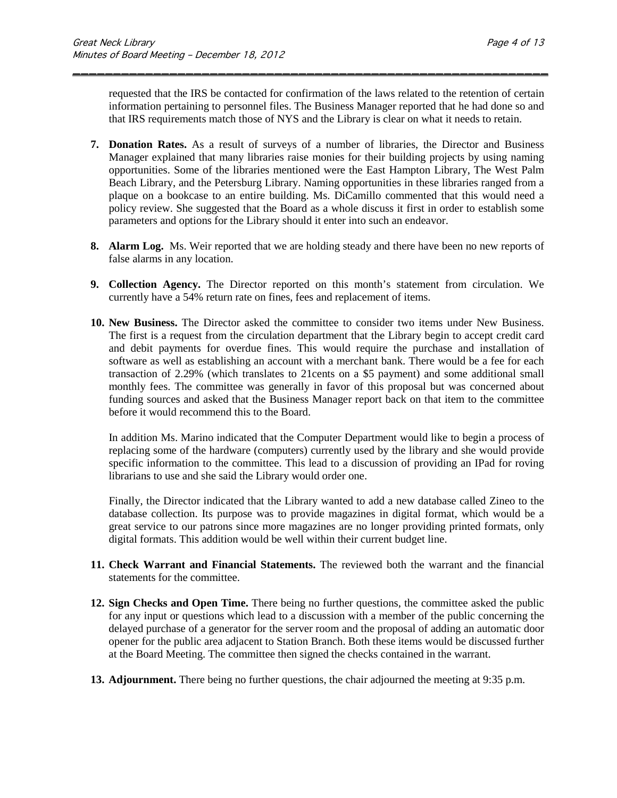requested that the IRS be contacted for confirmation of the laws related to the retention of certain information pertaining to personnel files. The Business Manager reported that he had done so and that IRS requirements match those of NYS and the Library is clear on what it needs to retain.

\_\_\_\_\_\_\_\_\_\_\_\_\_\_\_\_\_\_\_\_\_\_\_\_\_\_\_\_\_\_\_\_\_\_\_\_\_\_\_\_\_\_\_\_\_\_\_\_\_\_\_\_\_\_\_\_\_\_\_

- **7. Donation Rates.** As a result of surveys of a number of libraries, the Director and Business Manager explained that many libraries raise monies for their building projects by using naming opportunities. Some of the libraries mentioned were the East Hampton Library, The West Palm Beach Library, and the Petersburg Library. Naming opportunities in these libraries ranged from a plaque on a bookcase to an entire building. Ms. DiCamillo commented that this would need a policy review. She suggested that the Board as a whole discuss it first in order to establish some parameters and options for the Library should it enter into such an endeavor.
- **8. Alarm Log.** Ms. Weir reported that we are holding steady and there have been no new reports of false alarms in any location.
- **9. Collection Agency.** The Director reported on this month's statement from circulation. We currently have a 54% return rate on fines, fees and replacement of items.
- **10. New Business.** The Director asked the committee to consider two items under New Business. The first is a request from the circulation department that the Library begin to accept credit card and debit payments for overdue fines. This would require the purchase and installation of software as well as establishing an account with a merchant bank. There would be a fee for each transaction of 2.29% (which translates to 21cents on a \$5 payment) and some additional small monthly fees. The committee was generally in favor of this proposal but was concerned about funding sources and asked that the Business Manager report back on that item to the committee before it would recommend this to the Board.

In addition Ms. Marino indicated that the Computer Department would like to begin a process of replacing some of the hardware (computers) currently used by the library and she would provide specific information to the committee. This lead to a discussion of providing an IPad for roving librarians to use and she said the Library would order one.

Finally, the Director indicated that the Library wanted to add a new database called Zineo to the database collection. Its purpose was to provide magazines in digital format, which would be a great service to our patrons since more magazines are no longer providing printed formats, only digital formats. This addition would be well within their current budget line.

- **11. Check Warrant and Financial Statements.** The reviewed both the warrant and the financial statements for the committee.
- **12. Sign Checks and Open Time.** There being no further questions, the committee asked the public for any input or questions which lead to a discussion with a member of the public concerning the delayed purchase of a generator for the server room and the proposal of adding an automatic door opener for the public area adjacent to Station Branch. Both these items would be discussed further at the Board Meeting. The committee then signed the checks contained in the warrant.
- **13. Adjournment.** There being no further questions, the chair adjourned the meeting at 9:35 p.m.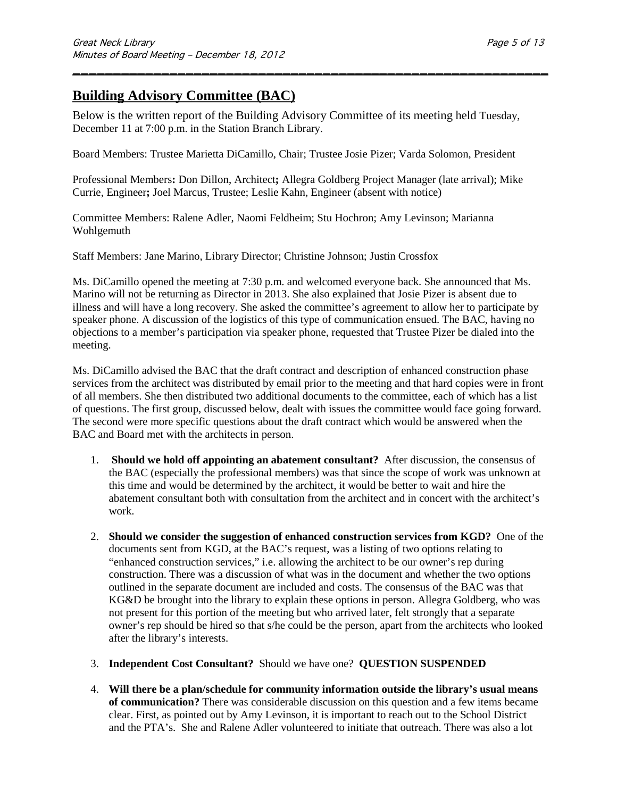## **Building Advisory Committee (BAC)**

Below is the written report of the Building Advisory Committee of its meeting held Tuesday, December 11 at 7:00 p.m. in the Station Branch Library.

\_\_\_\_\_\_\_\_\_\_\_\_\_\_\_\_\_\_\_\_\_\_\_\_\_\_\_\_\_\_\_\_\_\_\_\_\_\_\_\_\_\_\_\_\_\_\_\_\_\_\_\_\_\_\_\_\_\_\_

Board Members: Trustee Marietta DiCamillo, Chair; Trustee Josie Pizer; Varda Solomon, President

Professional Members**:** Don Dillon, Architect**;** Allegra Goldberg Project Manager (late arrival); Mike Currie, Engineer**;** Joel Marcus, Trustee; Leslie Kahn, Engineer (absent with notice)

Committee Members: Ralene Adler, Naomi Feldheim; Stu Hochron; Amy Levinson; Marianna Wohlgemuth

Staff Members: Jane Marino, Library Director; Christine Johnson; Justin Crossfox

Ms. DiCamillo opened the meeting at 7:30 p.m. and welcomed everyone back. She announced that Ms. Marino will not be returning as Director in 2013. She also explained that Josie Pizer is absent due to illness and will have a long recovery. She asked the committee's agreement to allow her to participate by speaker phone. A discussion of the logistics of this type of communication ensued. The BAC, having no objections to a member's participation via speaker phone, requested that Trustee Pizer be dialed into the meeting.

Ms. DiCamillo advised the BAC that the draft contract and description of enhanced construction phase services from the architect was distributed by email prior to the meeting and that hard copies were in front of all members. She then distributed two additional documents to the committee, each of which has a list of questions. The first group, discussed below, dealt with issues the committee would face going forward. The second were more specific questions about the draft contract which would be answered when the BAC and Board met with the architects in person.

- 1. **Should we hold off appointing an abatement consultant?** After discussion, the consensus of the BAC (especially the professional members) was that since the scope of work was unknown at this time and would be determined by the architect, it would be better to wait and hire the abatement consultant both with consultation from the architect and in concert with the architect's work.
- 2. **Should we consider the suggestion of enhanced construction services from KGD?** One of the documents sent from KGD, at the BAC's request, was a listing of two options relating to "enhanced construction services," i.e. allowing the architect to be our owner's rep during construction. There was a discussion of what was in the document and whether the two options outlined in the separate document are included and costs. The consensus of the BAC was that KG&D be brought into the library to explain these options in person. Allegra Goldberg, who was not present for this portion of the meeting but who arrived later, felt strongly that a separate owner's rep should be hired so that s/he could be the person, apart from the architects who looked after the library's interests.
- 3. **Independent Cost Consultant?** Should we have one? **QUESTION SUSPENDED**
- 4. **Will there be a plan/schedule for community information outside the library's usual means of communication?** There was considerable discussion on this question and a few items became clear. First, as pointed out by Amy Levinson, it is important to reach out to the School District and the PTA's. She and Ralene Adler volunteered to initiate that outreach. There was also a lot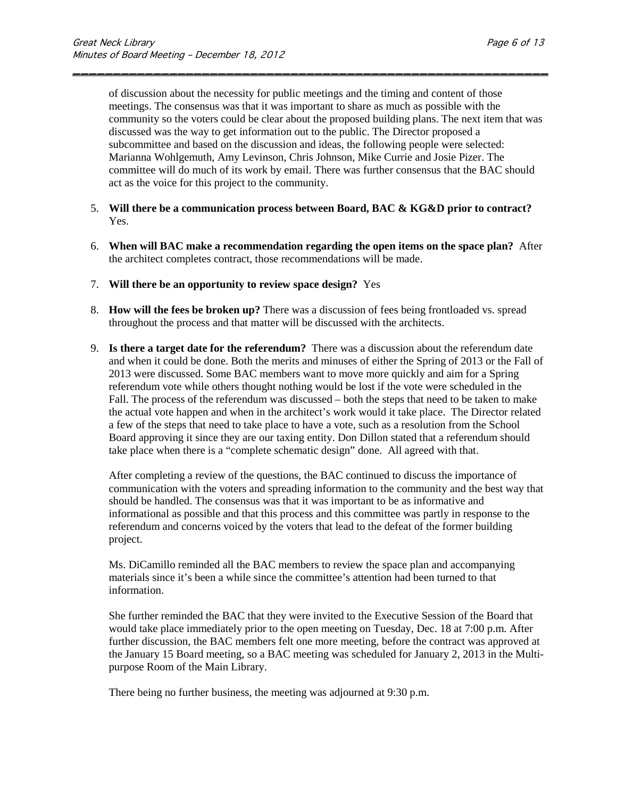of discussion about the necessity for public meetings and the timing and content of those meetings. The consensus was that it was important to share as much as possible with the community so the voters could be clear about the proposed building plans. The next item that was discussed was the way to get information out to the public. The Director proposed a subcommittee and based on the discussion and ideas, the following people were selected: Marianna Wohlgemuth, Amy Levinson, Chris Johnson, Mike Currie and Josie Pizer. The committee will do much of its work by email. There was further consensus that the BAC should act as the voice for this project to the community.

\_\_\_\_\_\_\_\_\_\_\_\_\_\_\_\_\_\_\_\_\_\_\_\_\_\_\_\_\_\_\_\_\_\_\_\_\_\_\_\_\_\_\_\_\_\_\_\_\_\_\_\_\_\_\_\_\_\_\_

- 5. **Will there be a communication process between Board, BAC & KG&D prior to contract?**  Yes.
- 6. **When will BAC make a recommendation regarding the open items on the space plan?** After the architect completes contract, those recommendations will be made.
- 7. **Will there be an opportunity to review space design?** Yes
- 8. **How will the fees be broken up?** There was a discussion of fees being frontloaded vs. spread throughout the process and that matter will be discussed with the architects.
- 9. **Is there a target date for the referendum?** There was a discussion about the referendum date and when it could be done. Both the merits and minuses of either the Spring of 2013 or the Fall of 2013 were discussed. Some BAC members want to move more quickly and aim for a Spring referendum vote while others thought nothing would be lost if the vote were scheduled in the Fall. The process of the referendum was discussed – both the steps that need to be taken to make the actual vote happen and when in the architect's work would it take place. The Director related a few of the steps that need to take place to have a vote, such as a resolution from the School Board approving it since they are our taxing entity. Don Dillon stated that a referendum should take place when there is a "complete schematic design" done. All agreed with that.

After completing a review of the questions, the BAC continued to discuss the importance of communication with the voters and spreading information to the community and the best way that should be handled. The consensus was that it was important to be as informative and informational as possible and that this process and this committee was partly in response to the referendum and concerns voiced by the voters that lead to the defeat of the former building project.

Ms. DiCamillo reminded all the BAC members to review the space plan and accompanying materials since it's been a while since the committee's attention had been turned to that information.

She further reminded the BAC that they were invited to the Executive Session of the Board that would take place immediately prior to the open meeting on Tuesday, Dec. 18 at 7:00 p.m. After further discussion, the BAC members felt one more meeting, before the contract was approved at the January 15 Board meeting, so a BAC meeting was scheduled for January 2, 2013 in the Multipurpose Room of the Main Library.

There being no further business, the meeting was adjourned at 9:30 p.m.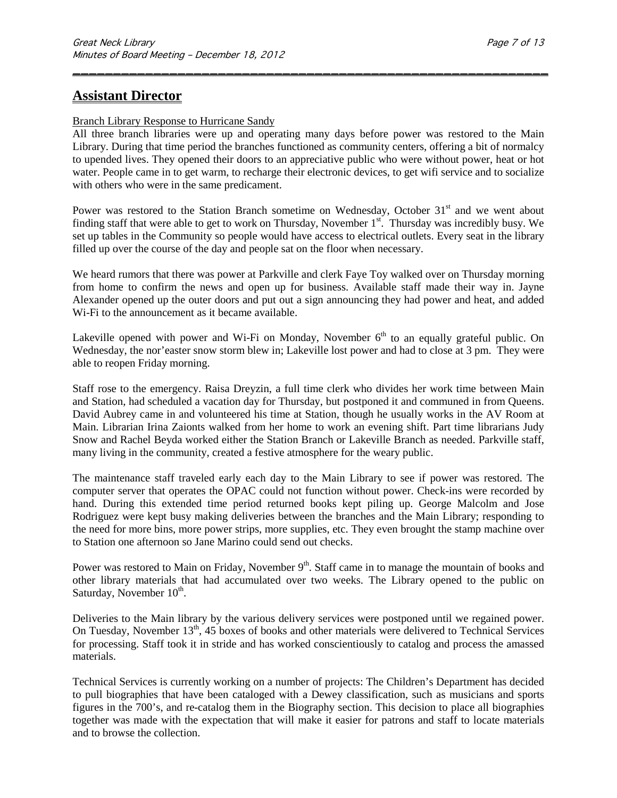### **Assistant Director**

#### Branch Library Response to Hurricane Sandy

All three branch libraries were up and operating many days before power was restored to the Main Library. During that time period the branches functioned as community centers, offering a bit of normalcy to upended lives. They opened their doors to an appreciative public who were without power, heat or hot water. People came in to get warm, to recharge their electronic devices, to get wifi service and to socialize with others who were in the same predicament.

\_\_\_\_\_\_\_\_\_\_\_\_\_\_\_\_\_\_\_\_\_\_\_\_\_\_\_\_\_\_\_\_\_\_\_\_\_\_\_\_\_\_\_\_\_\_\_\_\_\_\_\_\_\_\_\_\_\_\_

Power was restored to the Station Branch sometime on Wednesday, October  $31<sup>st</sup>$  and we went about finding staff that were able to get to work on Thursday, November 1<sup>st</sup>. Thursday was incredibly busy. We set up tables in the Community so people would have access to electrical outlets. Every seat in the library filled up over the course of the day and people sat on the floor when necessary.

We heard rumors that there was power at Parkville and clerk Faye Toy walked over on Thursday morning from home to confirm the news and open up for business. Available staff made their way in. Jayne Alexander opened up the outer doors and put out a sign announcing they had power and heat, and added Wi-Fi to the announcement as it became available.

Lakeville opened with power and Wi-Fi on Monday, November  $6<sup>th</sup>$  to an equally grateful public. On Wednesday, the nor'easter snow storm blew in; Lakeville lost power and had to close at 3 pm. They were able to reopen Friday morning.

Staff rose to the emergency. Raisa Dreyzin, a full time clerk who divides her work time between Main and Station, had scheduled a vacation day for Thursday, but postponed it and communed in from Queens. David Aubrey came in and volunteered his time at Station, though he usually works in the AV Room at Main. Librarian Irina Zaionts walked from her home to work an evening shift. Part time librarians Judy Snow and Rachel Beyda worked either the Station Branch or Lakeville Branch as needed. Parkville staff, many living in the community, created a festive atmosphere for the weary public.

The maintenance staff traveled early each day to the Main Library to see if power was restored. The computer server that operates the OPAC could not function without power. Check-ins were recorded by hand. During this extended time period returned books kept piling up. George Malcolm and Jose Rodriguez were kept busy making deliveries between the branches and the Main Library; responding to the need for more bins, more power strips, more supplies, etc. They even brought the stamp machine over to Station one afternoon so Jane Marino could send out checks.

Power was restored to Main on Friday, November 9<sup>th</sup>. Staff came in to manage the mountain of books and other library materials that had accumulated over two weeks. The Library opened to the public on Saturday, November  $10^{th}$ .

Deliveries to the Main library by the various delivery services were postponed until we regained power. On Tuesday, November 13<sup>th</sup>, 45 boxes of books and other materials were delivered to Technical Services for processing. Staff took it in stride and has worked conscientiously to catalog and process the amassed materials.

Technical Services is currently working on a number of projects: The Children's Department has decided to pull biographies that have been cataloged with a Dewey classification, such as musicians and sports figures in the 700's, and re-catalog them in the Biography section. This decision to place all biographies together was made with the expectation that will make it easier for patrons and staff to locate materials and to browse the collection.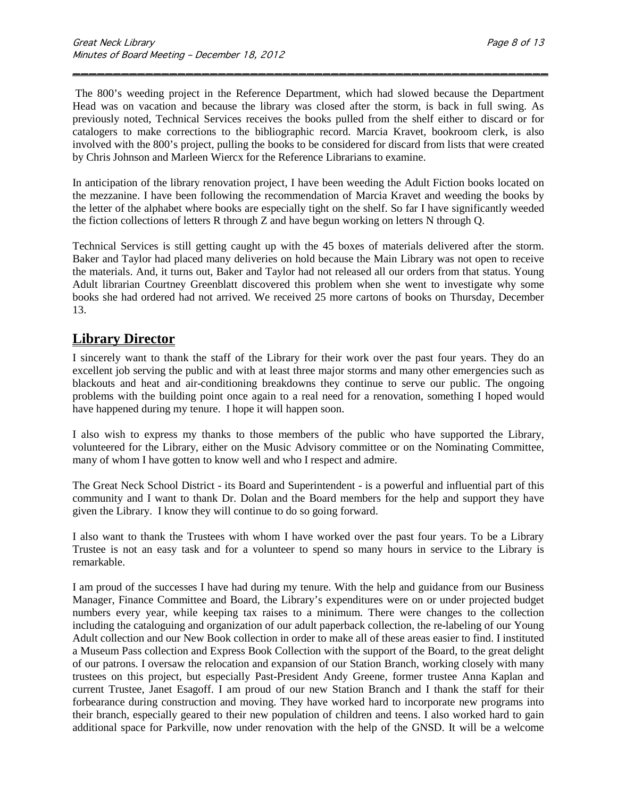The 800's weeding project in the Reference Department, which had slowed because the Department Head was on vacation and because the library was closed after the storm, is back in full swing. As previously noted, Technical Services receives the books pulled from the shelf either to discard or for catalogers to make corrections to the bibliographic record. Marcia Kravet, bookroom clerk, is also involved with the 800's project, pulling the books to be considered for discard from lists that were created by Chris Johnson and Marleen Wiercx for the Reference Librarians to examine.

\_\_\_\_\_\_\_\_\_\_\_\_\_\_\_\_\_\_\_\_\_\_\_\_\_\_\_\_\_\_\_\_\_\_\_\_\_\_\_\_\_\_\_\_\_\_\_\_\_\_\_\_\_\_\_\_\_\_\_

In anticipation of the library renovation project, I have been weeding the Adult Fiction books located on the mezzanine. I have been following the recommendation of Marcia Kravet and weeding the books by the letter of the alphabet where books are especially tight on the shelf. So far I have significantly weeded the fiction collections of letters R through Z and have begun working on letters N through Q.

Technical Services is still getting caught up with the 45 boxes of materials delivered after the storm. Baker and Taylor had placed many deliveries on hold because the Main Library was not open to receive the materials. And, it turns out, Baker and Taylor had not released all our orders from that status. Young Adult librarian Courtney Greenblatt discovered this problem when she went to investigate why some books she had ordered had not arrived. We received 25 more cartons of books on Thursday, December 13.

### **Library Director**

I sincerely want to thank the staff of the Library for their work over the past four years. They do an excellent job serving the public and with at least three major storms and many other emergencies such as blackouts and heat and air-conditioning breakdowns they continue to serve our public. The ongoing problems with the building point once again to a real need for a renovation, something I hoped would have happened during my tenure. I hope it will happen soon.

I also wish to express my thanks to those members of the public who have supported the Library, volunteered for the Library, either on the Music Advisory committee or on the Nominating Committee, many of whom I have gotten to know well and who I respect and admire.

The Great Neck School District - its Board and Superintendent - is a powerful and influential part of this community and I want to thank Dr. Dolan and the Board members for the help and support they have given the Library. I know they will continue to do so going forward.

I also want to thank the Trustees with whom I have worked over the past four years. To be a Library Trustee is not an easy task and for a volunteer to spend so many hours in service to the Library is remarkable.

I am proud of the successes I have had during my tenure. With the help and guidance from our Business Manager, Finance Committee and Board, the Library's expenditures were on or under projected budget numbers every year, while keeping tax raises to a minimum. There were changes to the collection including the cataloguing and organization of our adult paperback collection, the re-labeling of our Young Adult collection and our New Book collection in order to make all of these areas easier to find. I instituted a Museum Pass collection and Express Book Collection with the support of the Board, to the great delight of our patrons. I oversaw the relocation and expansion of our Station Branch, working closely with many trustees on this project, but especially Past-President Andy Greene, former trustee Anna Kaplan and current Trustee, Janet Esagoff. I am proud of our new Station Branch and I thank the staff for their forbearance during construction and moving. They have worked hard to incorporate new programs into their branch, especially geared to their new population of children and teens. I also worked hard to gain additional space for Parkville, now under renovation with the help of the GNSD. It will be a welcome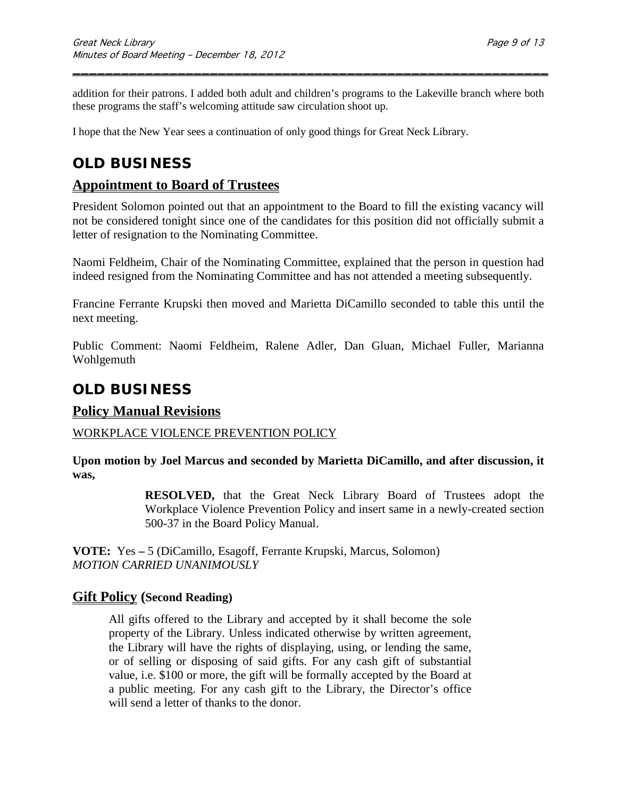addition for their patrons. I added both adult and children's programs to the Lakeville branch where both these programs the staff's welcoming attitude saw circulation shoot up.

\_\_\_\_\_\_\_\_\_\_\_\_\_\_\_\_\_\_\_\_\_\_\_\_\_\_\_\_\_\_\_\_\_\_\_\_\_\_\_\_\_\_\_\_\_\_\_\_\_\_\_\_\_\_\_\_\_\_\_

I hope that the New Year sees a continuation of only good things for Great Neck Library.

## **OLD BUSINESS**

### **Appointment to Board of Trustees**

President Solomon pointed out that an appointment to the Board to fill the existing vacancy will not be considered tonight since one of the candidates for this position did not officially submit a letter of resignation to the Nominating Committee.

Naomi Feldheim, Chair of the Nominating Committee, explained that the person in question had indeed resigned from the Nominating Committee and has not attended a meeting subsequently.

Francine Ferrante Krupski then moved and Marietta DiCamillo seconded to table this until the next meeting.

Public Comment: Naomi Feldheim, Ralene Adler, Dan Gluan, Michael Fuller, Marianna Wohlgemuth

# **OLD BUSINESS**

#### **Policy Manual Revisions**

#### WORKPLACE VIOLENCE PREVENTION POLICY

**Upon motion by Joel Marcus and seconded by Marietta DiCamillo, and after discussion, it was,**

> **RESOLVED,** that the Great Neck Library Board of Trustees adopt the Workplace Violence Prevention Policy and insert same in a newly-created section 500-37 in the Board Policy Manual.

**VOTE:** Yes **–** 5 (DiCamillo, Esagoff, Ferrante Krupski, Marcus, Solomon) *MOTION CARRIED UNANIMOUSLY*

#### **Gift Policy (Second Reading)**

All gifts offered to the Library and accepted by it shall become the sole property of the Library. Unless indicated otherwise by written agreement, the Library will have the rights of displaying, using, or lending the same, or of selling or disposing of said gifts. For any cash gift of substantial value, i.e. \$100 or more, the gift will be formally accepted by the Board at a public meeting. For any cash gift to the Library, the Director's office will send a letter of thanks to the donor.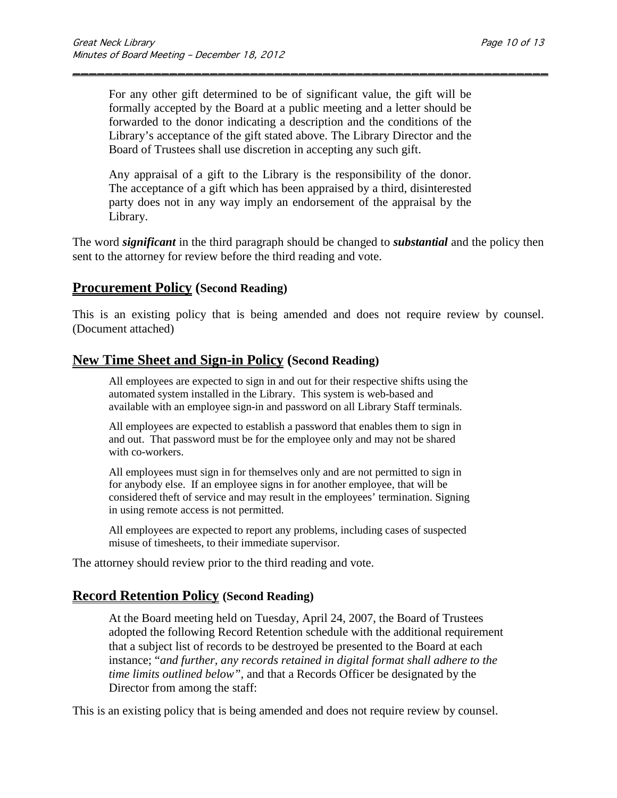For any other gift determined to be of significant value, the gift will be formally accepted by the Board at a public meeting and a letter should be forwarded to the donor indicating a description and the conditions of the Library's acceptance of the gift stated above. The Library Director and the Board of Trustees shall use discretion in accepting any such gift.

\_\_\_\_\_\_\_\_\_\_\_\_\_\_\_\_\_\_\_\_\_\_\_\_\_\_\_\_\_\_\_\_\_\_\_\_\_\_\_\_\_\_\_\_\_\_\_\_\_\_\_\_\_\_\_\_\_\_\_

Any appraisal of a gift to the Library is the responsibility of the donor. The acceptance of a gift which has been appraised by a third, disinterested party does not in any way imply an endorsement of the appraisal by the Library.

The word *significant* in the third paragraph should be changed to *substantial* and the policy then sent to the attorney for review before the third reading and vote.

#### **Procurement Policy (Second Reading)**

This is an existing policy that is being amended and does not require review by counsel. (Document attached)

#### **New Time Sheet and Sign-in Policy (Second Reading)**

All employees are expected to sign in and out for their respective shifts using the automated system installed in the Library. This system is web-based and available with an employee sign-in and password on all Library Staff terminals.

All employees are expected to establish a password that enables them to sign in and out. That password must be for the employee only and may not be shared with co-workers.

All employees must sign in for themselves only and are not permitted to sign in for anybody else. If an employee signs in for another employee, that will be considered theft of service and may result in the employees' termination. Signing in using remote access is not permitted.

All employees are expected to report any problems, including cases of suspected misuse of timesheets, to their immediate supervisor.

The attorney should review prior to the third reading and vote.

## **Record Retention Policy (Second Reading)**

At the Board meeting held on Tuesday, April 24, 2007, the Board of Trustees adopted the following Record Retention schedule with the additional requirement that a subject list of records to be destroyed be presented to the Board at each instance; "*and further, any records retained in digital format shall adhere to the time limits outlined below",* and that a Records Officer be designated by the Director from among the staff:

This is an existing policy that is being amended and does not require review by counsel.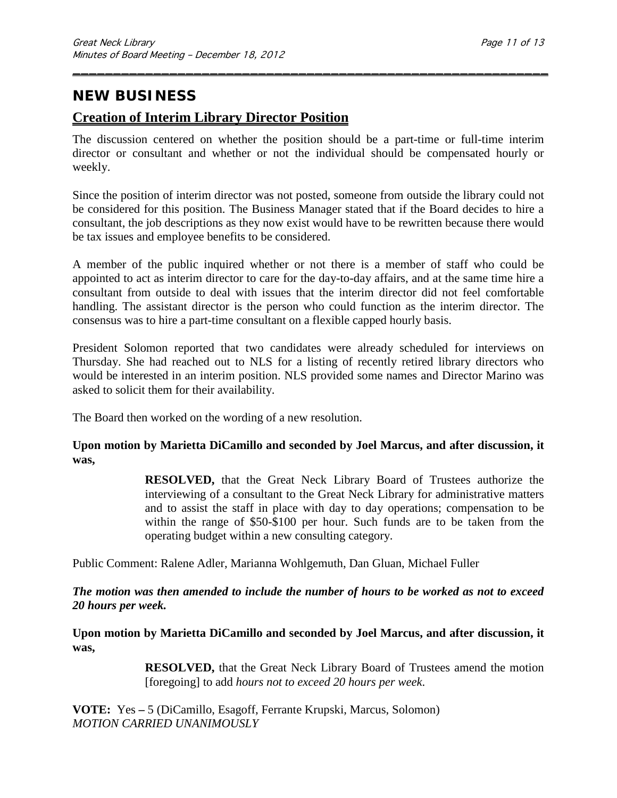## **NEW BUSINESS**

## **Creation of Interim Library Director Position**

The discussion centered on whether the position should be a part-time or full-time interim director or consultant and whether or not the individual should be compensated hourly or weekly.

\_\_\_\_\_\_\_\_\_\_\_\_\_\_\_\_\_\_\_\_\_\_\_\_\_\_\_\_\_\_\_\_\_\_\_\_\_\_\_\_\_\_\_\_\_\_\_\_\_\_\_\_\_\_\_\_\_\_\_

Since the position of interim director was not posted, someone from outside the library could not be considered for this position. The Business Manager stated that if the Board decides to hire a consultant, the job descriptions as they now exist would have to be rewritten because there would be tax issues and employee benefits to be considered.

A member of the public inquired whether or not there is a member of staff who could be appointed to act as interim director to care for the day-to-day affairs, and at the same time hire a consultant from outside to deal with issues that the interim director did not feel comfortable handling. The assistant director is the person who could function as the interim director. The consensus was to hire a part-time consultant on a flexible capped hourly basis.

President Solomon reported that two candidates were already scheduled for interviews on Thursday. She had reached out to NLS for a listing of recently retired library directors who would be interested in an interim position. NLS provided some names and Director Marino was asked to solicit them for their availability.

The Board then worked on the wording of a new resolution.

#### **Upon motion by Marietta DiCamillo and seconded by Joel Marcus, and after discussion, it was,**

**RESOLVED,** that the Great Neck Library Board of Trustees authorize the interviewing of a consultant to the Great Neck Library for administrative matters and to assist the staff in place with day to day operations; compensation to be within the range of \$50-\$100 per hour. Such funds are to be taken from the operating budget within a new consulting category.

Public Comment: Ralene Adler, Marianna Wohlgemuth, Dan Gluan, Michael Fuller

*The motion was then amended to include the number of hours to be worked as not to exceed 20 hours per week.*

**Upon motion by Marietta DiCamillo and seconded by Joel Marcus, and after discussion, it was,**

> **RESOLVED,** that the Great Neck Library Board of Trustees amend the motion [foregoing] to add *hours not to exceed 20 hours per week*.

**VOTE:** Yes **–** 5 (DiCamillo, Esagoff, Ferrante Krupski, Marcus, Solomon) *MOTION CARRIED UNANIMOUSLY*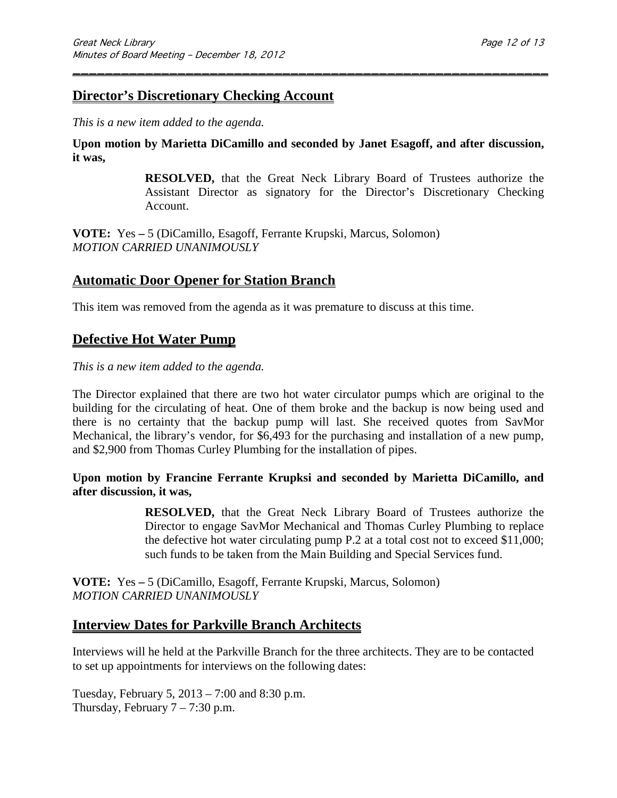### **Director's Discretionary Checking Account**

*This is a new item added to the agenda.*

**Upon motion by Marietta DiCamillo and seconded by Janet Esagoff, and after discussion, it was,**

\_\_\_\_\_\_\_\_\_\_\_\_\_\_\_\_\_\_\_\_\_\_\_\_\_\_\_\_\_\_\_\_\_\_\_\_\_\_\_\_\_\_\_\_\_\_\_\_\_\_\_\_\_\_\_\_\_\_\_

**RESOLVED,** that the Great Neck Library Board of Trustees authorize the Assistant Director as signatory for the Director's Discretionary Checking Account.

**VOTE:** Yes **–** 5 (DiCamillo, Esagoff, Ferrante Krupski, Marcus, Solomon) *MOTION CARRIED UNANIMOUSLY*

### **Automatic Door Opener for Station Branch**

This item was removed from the agenda as it was premature to discuss at this time.

### **Defective Hot Water Pump**

*This is a new item added to the agenda.*

The Director explained that there are two hot water circulator pumps which are original to the building for the circulating of heat. One of them broke and the backup is now being used and there is no certainty that the backup pump will last. She received quotes from SavMor Mechanical, the library's vendor, for \$6,493 for the purchasing and installation of a new pump, and \$2,900 from Thomas Curley Plumbing for the installation of pipes.

**Upon motion by Francine Ferrante Krupksi and seconded by Marietta DiCamillo, and after discussion, it was,**

> **RESOLVED,** that the Great Neck Library Board of Trustees authorize the Director to engage SavMor Mechanical and Thomas Curley Plumbing to replace the defective hot water circulating pump P.2 at a total cost not to exceed \$11,000; such funds to be taken from the Main Building and Special Services fund.

**VOTE:** Yes **–** 5 (DiCamillo, Esagoff, Ferrante Krupski, Marcus, Solomon) *MOTION CARRIED UNANIMOUSLY*

### **Interview Dates for Parkville Branch Architects**

Interviews will he held at the Parkville Branch for the three architects. They are to be contacted to set up appointments for interviews on the following dates:

Tuesday, February 5, 2013 – 7:00 and 8:30 p.m. Thursday, February  $7 - 7:30$  p.m.